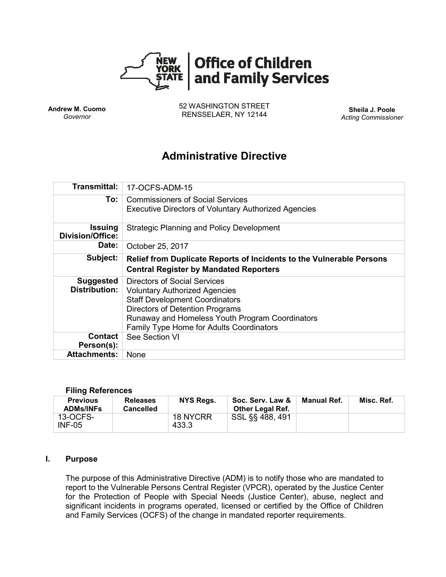

**Andrew M. Cuomo** *Governor*

52 WASHINGTON STREET RENSSELAER, NY 12144 **Sheila J. Poole**

*Acting Commissioner*

# **Administrative Directive**

| <b>Transmittal:</b>                       | 17-OCFS-ADM-15                                                                                                                                                                                                                                  |  |  |  |  |
|-------------------------------------------|-------------------------------------------------------------------------------------------------------------------------------------------------------------------------------------------------------------------------------------------------|--|--|--|--|
| To:                                       | <b>Commissioners of Social Services</b><br><b>Executive Directors of Voluntary Authorized Agencies</b>                                                                                                                                          |  |  |  |  |
| <b>Issuing</b><br><b>Division/Office:</b> | <b>Strategic Planning and Policy Development</b>                                                                                                                                                                                                |  |  |  |  |
| Date:                                     | October 25, 2017                                                                                                                                                                                                                                |  |  |  |  |
| Subject:                                  | Relief from Duplicate Reports of Incidents to the Vulnerable Persons<br><b>Central Register by Mandated Reporters</b>                                                                                                                           |  |  |  |  |
| <b>Suggested</b><br><b>Distribution:</b>  | Directors of Social Services<br><b>Voluntary Authorized Agencies</b><br><b>Staff Development Coordinators</b><br>Directors of Detention Programs<br>Runaway and Homeless Youth Program Coordinators<br>Family Type Home for Adults Coordinators |  |  |  |  |
| Contact<br>Person(s):                     | See Section VI                                                                                                                                                                                                                                  |  |  |  |  |
| <b>Attachments:</b>                       | <b>None</b>                                                                                                                                                                                                                                     |  |  |  |  |

#### **Filing References**

| <b>Previous</b><br><b>ADMs/INFs</b> | <b>Releases</b><br><b>Cancelled</b> | NYS Regs.         | Soc. Serv. Law &<br><b>Other Legal Ref.</b> | Manual Ref. | Misc. Ref. |
|-------------------------------------|-------------------------------------|-------------------|---------------------------------------------|-------------|------------|
| 13-OCFS-<br>$INF-05$                |                                     | 18 NYCRR<br>433.3 | SSL §§ 488, 491                             |             |            |

#### **I. Purpose**

The purpose of this Administrative Directive (ADM) is to notify those who are mandated to report to the Vulnerable Persons Central Register (VPCR), operated by the Justice Center for the Protection of People with Special Needs (Justice Center), abuse, neglect and significant incidents in programs operated, licensed or certified by the Office of Children and Family Services (OCFS) of the change in mandated reporter requirements.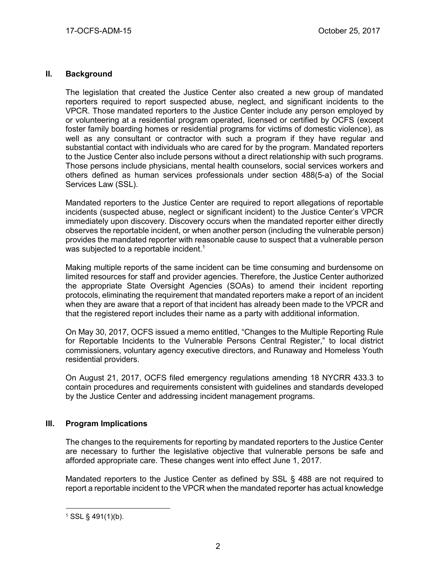## **II. Background**

The legislation that created the Justice Center also created a new group of mandated reporters required to report suspected abuse, neglect, and significant incidents to the VPCR. Those mandated reporters to the Justice Center include any person employed by or volunteering at a residential program operated, licensed or certified by OCFS (except foster family boarding homes or residential programs for victims of domestic violence), as well as any consultant or contractor with such a program if they have regular and substantial contact with individuals who are cared for by the program. Mandated reporters to the Justice Center also include persons without a direct relationship with such programs. Those persons include physicians, mental health counselors, social services workers and others defined as human services professionals under section 488(5-a) of the Social Services Law (SSL).

Mandated reporters to the Justice Center are required to report allegations of reportable incidents (suspected abuse, neglect or significant incident) to the Justice Center's VPCR immediately upon discovery. Discovery occurs when the mandated reporter either directly observes the reportable incident, or when another person (including the vulnerable person) provides the mandated reporter with reasonable cause to suspect that a vulnerable person was subjected to a reportable incident.<sup>1</sup>

Making multiple reports of the same incident can be time consuming and burdensome on limited resources for staff and provider agencies. Therefore, the Justice Center authorized the appropriate State Oversight Agencies (SOAs) to amend their incident reporting protocols, eliminating the requirement that mandated reporters make a report of an incident when they are aware that a report of that incident has already been made to the VPCR and that the registered report includes their name as a party with additional information.

On May 30, 2017, OCFS issued a memo entitled, "Changes to the Multiple Reporting Rule for Reportable Incidents to the Vulnerable Persons Central Register," to local district commissioners, voluntary agency executive directors, and Runaway and Homeless Youth residential providers.

On August 21, 2017, OCFS filed emergency regulations amending 18 NYCRR 433.3 to contain procedures and requirements consistent with guidelines and standards developed by the Justice Center and addressing incident management programs.

## **III. Program Implications**

The changes to the requirements for reporting by mandated reporters to the Justice Center are necessary to further the legislative objective that vulnerable persons be safe and afforded appropriate care. These changes went into effect June 1, 2017.

Mandated reporters to the Justice Center as defined by SSL § 488 are not required to report a reportable incident to the VPCR when the mandated reporter has actual knowledge

 $\overline{a}$  $1$  SSL § 491(1)(b).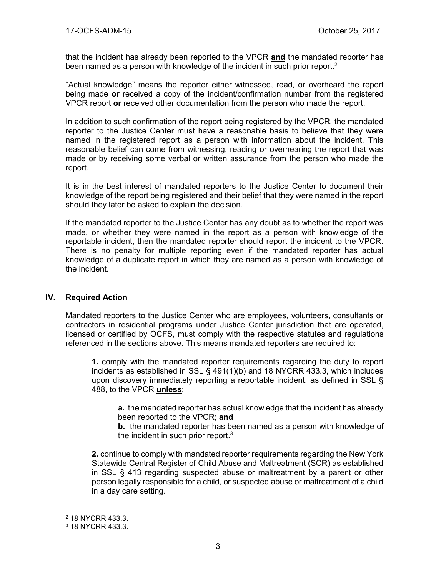that the incident has already been reported to the VPCR **and** the mandated reporter has been named as a person with knowledge of the incident in such prior report.<sup>2</sup>

"Actual knowledge" means the reporter either witnessed, read, or overheard the report being made **or** received a copy of the incident/confirmation number from the registered VPCR report **or** received other documentation from the person who made the report.

In addition to such confirmation of the report being registered by the VPCR, the mandated reporter to the Justice Center must have a reasonable basis to believe that they were named in the registered report as a person with information about the incident. This reasonable belief can come from witnessing, reading or overhearing the report that was made or by receiving some verbal or written assurance from the person who made the report.

It is in the best interest of mandated reporters to the Justice Center to document their knowledge of the report being registered and their belief that they were named in the report should they later be asked to explain the decision.

If the mandated reporter to the Justice Center has any doubt as to whether the report was made, or whether they were named in the report as a person with knowledge of the reportable incident, then the mandated reporter should report the incident to the VPCR. There is no penalty for multiple reporting even if the mandated reporter has actual knowledge of a duplicate report in which they are named as a person with knowledge of the incident.

#### **IV. Required Action**

Mandated reporters to the Justice Center who are employees, volunteers, consultants or contractors in residential programs under Justice Center jurisdiction that are operated, licensed or certified by OCFS, must comply with the respective statutes and regulations referenced in the sections above. This means mandated reporters are required to:

**1.** comply with the mandated reporter requirements regarding the duty to report incidents as established in SSL § 491(1)(b) and 18 NYCRR 433.3, which includes upon discovery immediately reporting a reportable incident, as defined in SSL § 488, to the VPCR **unless**:

**a.** the mandated reporter has actual knowledge that the incident has already been reported to the VPCR; **and**

**b.** the mandated reporter has been named as a person with knowledge of the incident in such prior report. $3$ 

**2.** continue to comply with mandated reporter requirements regarding the New York Statewide Central Register of Child Abuse and Maltreatment (SCR) as established in SSL § 413 regarding suspected abuse or maltreatment by a parent or other person legally responsible for a child, or suspected abuse or maltreatment of a child in a day care setting.

 $\overline{a}$ 

<sup>2</sup> 18 NYCRR 433.3.

<sup>3</sup> 18 NYCRR 433.3.